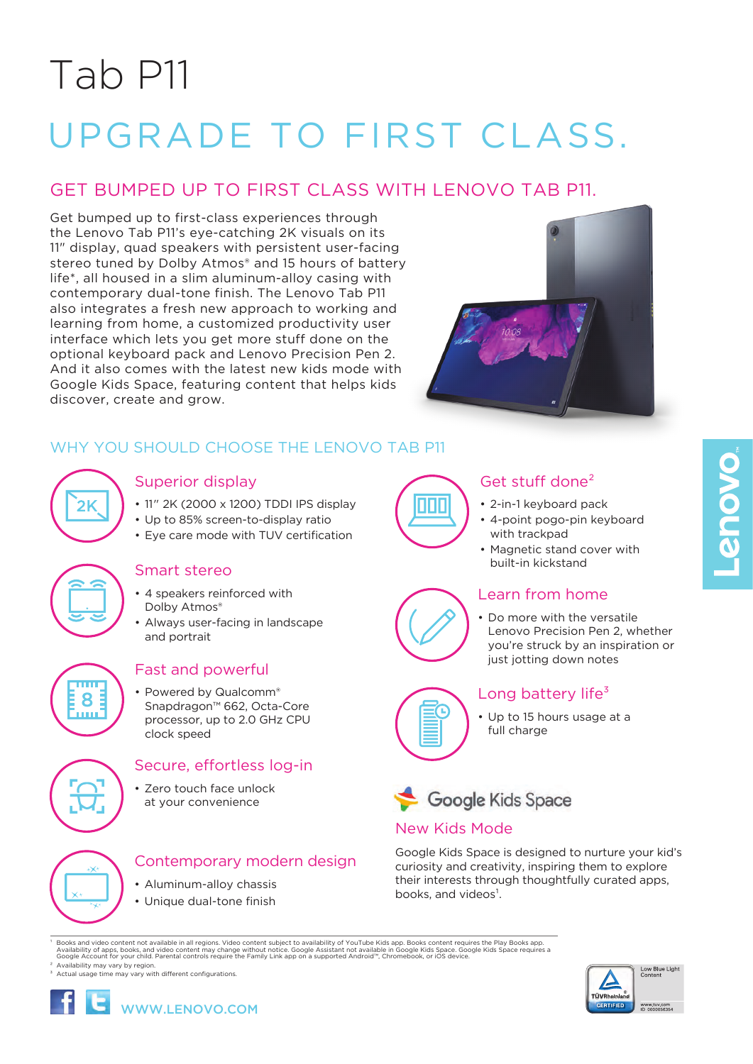# Tab P11

# UPGRADE TO FIRST CLASS.

# GET BUMPED UP TO FIRST CLASS WITH LENOVO TAB P11.

Get bumped up to first-class experiences through the Lenovo Tab P11's eye-catching 2K visuals on its 11" display, quad speakers with persistent user-facing stereo tuned by Dolby Atmos<sup>®</sup> and 15 hours of battery life\*, all housed in a slim aluminum-alloy casing with contemporary dual-tone finish. The Lenovo Tab P11 also integrates a fresh new approach to working and learning from home, a customized productivity user interface which lets you get more stuff done on the optional keyboard pack and Lenovo Precision Pen 2. And it also comes with the latest new kids mode with Google Kids Space, featuring content that helps kids discover, create and grow.



# WHY YOU SHOULD CHOOSE THE LENOVO TAB P11

| , |  |
|---|--|
|   |  |
|   |  |

# Superior display

- 11" 2K (2000 x 1200) TDDI IPS display
- Up to 85% screen-to-display ratio
- Eye care mode with TUV certification

## Smart stereo

- 4 speakers reinforced with Dolby Atmos®
- Always user-facing in landscape and portrait



# Fast and powerful

Powered by Qualcomm® Snapdragon™ 662, Octa-Core processor, up to 2.0 GHz CPU clock speed

# Secure, effortless log-in

• Zero touch face unlock at your convenience



# Contemporary modern design

- Aluminum-alloy chassis
- Unique dual-tone finish













- 2-in-1 keyboard pack
- 4-point pogo-pin keyboard with trackpad
- Magnetic stand cover with built-in kickstand

# Learn from home

• Do more with the versatile Lenovo Precision Pen 2, whether you're struck by an inspiration or just jotting down notes



# Long battery life $3$

• Up to 15 hours usage at a full charge



# New Kids Mode

Google Kids Space is designed to nurture your kid's curiosity and creativity, inspiring them to explore their interests through thoughtfully curated apps, books, and videos<sup>1</sup>.

Prooks and video content not available in all regions. Video content subject to availability of YouTube Kids app. Books content requires the Play Books app.<br>Availability of apps, books, and video content may change without

 $3$  Actual usage time may vary with different configurations.